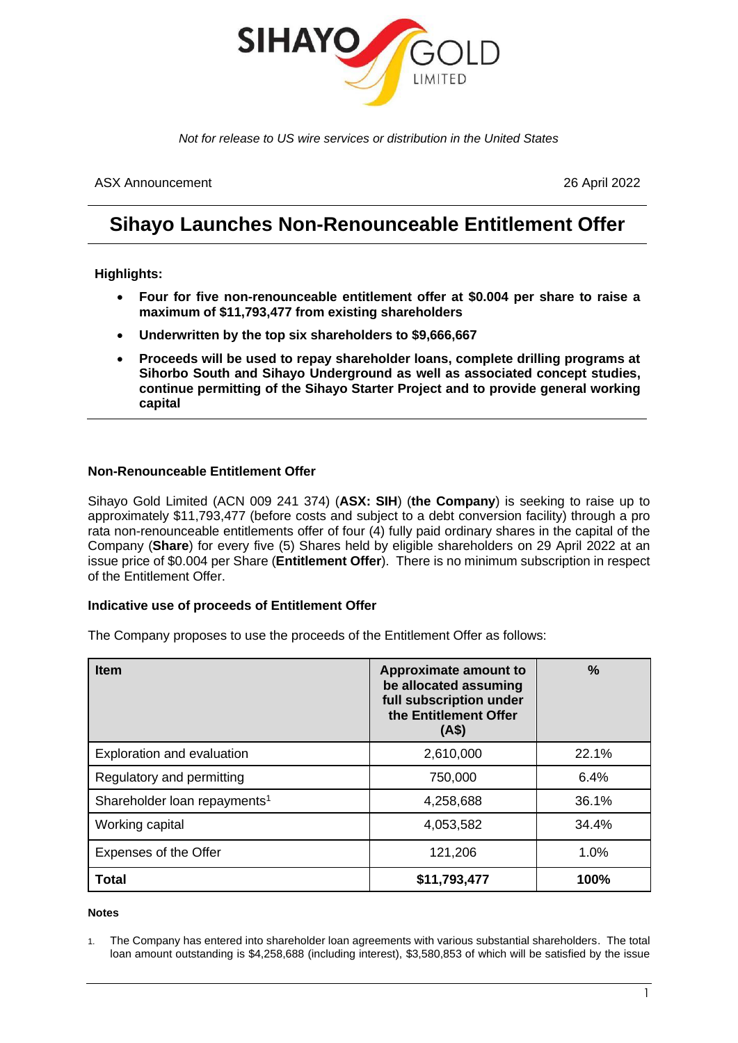

*Not for release to US wire services or distribution in the United States*

ASX Announcement 26 April 2022

# **Sihayo Launches Non-Renounceable Entitlement Offer**

# **Highlights:**

- **Four for five non-renounceable entitlement offer at \$0.004 per share to raise a maximum of \$11,793,477 from existing shareholders**
- **Underwritten by the top six shareholders to \$9,666,667**
- **Proceeds will be used to repay shareholder loans, complete drilling programs at Sihorbo South and Sihayo Underground as well as associated concept studies, continue permitting of the Sihayo Starter Project and to provide general working capital**

# **Non-Renounceable Entitlement Offer**

Sihayo Gold Limited (ACN 009 241 374) (**ASX: SIH**) (**the Company**) is seeking to raise up to approximately \$11,793,477 (before costs and subject to a debt conversion facility) through a pro rata non-renounceable entitlements offer of four (4) fully paid ordinary shares in the capital of the Company (**Share**) for every five (5) Shares held by eligible shareholders on 29 April 2022 at an issue price of \$0.004 per Share (**Entitlement Offer**). There is no minimum subscription in respect of the Entitlement Offer.

### **Indicative use of proceeds of Entitlement Offer**

The Company proposes to use the proceeds of the Entitlement Offer as follows:

| <b>Item</b>                              | Approximate amount to<br>be allocated assuming<br>full subscription under<br>the Entitlement Offer<br>(A\$) | $\%$  |
|------------------------------------------|-------------------------------------------------------------------------------------------------------------|-------|
| Exploration and evaluation               | 2,610,000                                                                                                   | 22.1% |
| Regulatory and permitting                | 750,000                                                                                                     | 6.4%  |
| Shareholder loan repayments <sup>1</sup> | 4,258,688                                                                                                   | 36.1% |
| Working capital                          | 4,053,582                                                                                                   | 34.4% |
| Expenses of the Offer                    | 121,206                                                                                                     | 1.0%  |
| <b>Total</b>                             | \$11,793,477                                                                                                | 100%  |

#### **Notes**

<sup>1.</sup> The Company has entered into shareholder loan agreements with various substantial shareholders. The total loan amount outstanding is \$4,258,688 (including interest), \$3,580,853 of which will be satisfied by the issue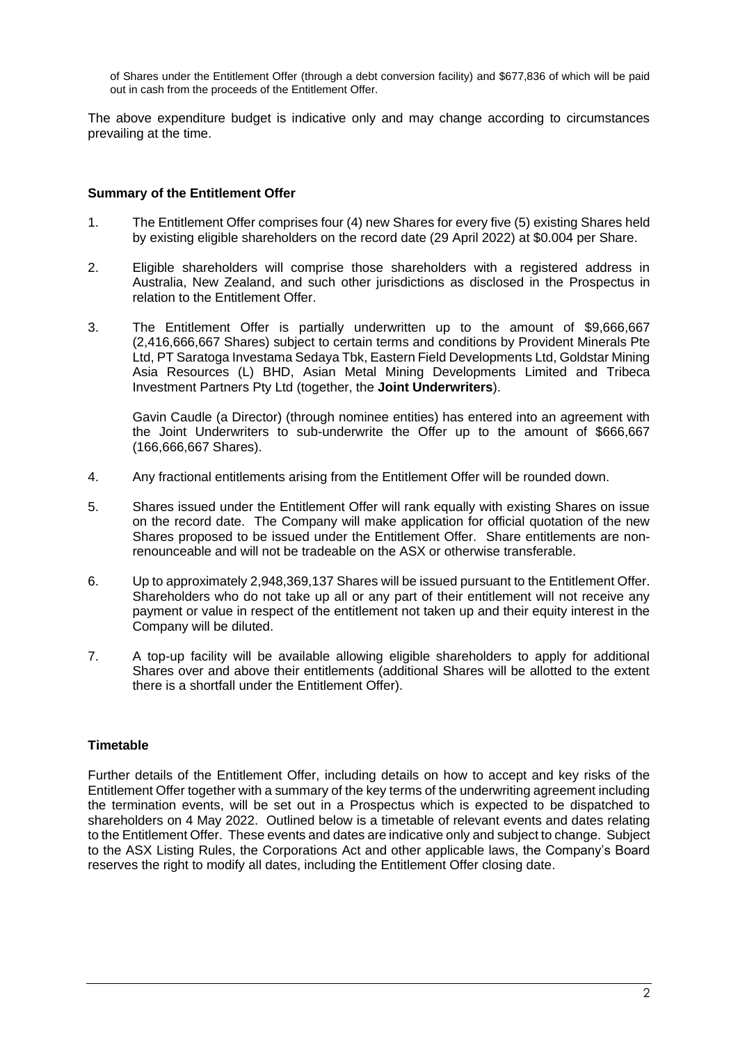of Shares under the Entitlement Offer (through a debt conversion facility) and \$677,836 of which will be paid out in cash from the proceeds of the Entitlement Offer.

The above expenditure budget is indicative only and may change according to circumstances prevailing at the time.

# **Summary of the Entitlement Offer**

- 1. The Entitlement Offer comprises four (4) new Shares for every five (5) existing Shares held by existing eligible shareholders on the record date (29 April 2022) at \$0.004 per Share.
- 2. Eligible shareholders will comprise those shareholders with a registered address in Australia, New Zealand, and such other jurisdictions as disclosed in the Prospectus in relation to the Entitlement Offer.
- 3. The Entitlement Offer is partially underwritten up to the amount of \$9,666,667 (2,416,666,667 Shares) subject to certain terms and conditions by Provident Minerals Pte Ltd, PT Saratoga Investama Sedaya Tbk, Eastern Field Developments Ltd, Goldstar Mining Asia Resources (L) BHD, Asian Metal Mining Developments Limited and Tribeca Investment Partners Pty Ltd (together, the **Joint Underwriters**).

Gavin Caudle (a Director) (through nominee entities) has entered into an agreement with the Joint Underwriters to sub-underwrite the Offer up to the amount of \$666,667 (166,666,667 Shares).

- 4. Any fractional entitlements arising from the Entitlement Offer will be rounded down.
- 5. Shares issued under the Entitlement Offer will rank equally with existing Shares on issue on the record date. The Company will make application for official quotation of the new Shares proposed to be issued under the Entitlement Offer. Share entitlements are nonrenounceable and will not be tradeable on the ASX or otherwise transferable.
- 6. Up to approximately 2,948,369,137 Shares will be issued pursuant to the Entitlement Offer. Shareholders who do not take up all or any part of their entitlement will not receive any payment or value in respect of the entitlement not taken up and their equity interest in the Company will be diluted.
- 7. A top-up facility will be available allowing eligible shareholders to apply for additional Shares over and above their entitlements (additional Shares will be allotted to the extent there is a shortfall under the Entitlement Offer).

# **Timetable**

Further details of the Entitlement Offer, including details on how to accept and key risks of the Entitlement Offer together with a summary of the key terms of the underwriting agreement including the termination events, will be set out in a Prospectus which is expected to be dispatched to shareholders on 4 May 2022. Outlined below is a timetable of relevant events and dates relating to the Entitlement Offer. These events and dates are indicative only and subject to change. Subject to the ASX Listing Rules, the Corporations Act and other applicable laws, the Company's Board reserves the right to modify all dates, including the Entitlement Offer closing date.